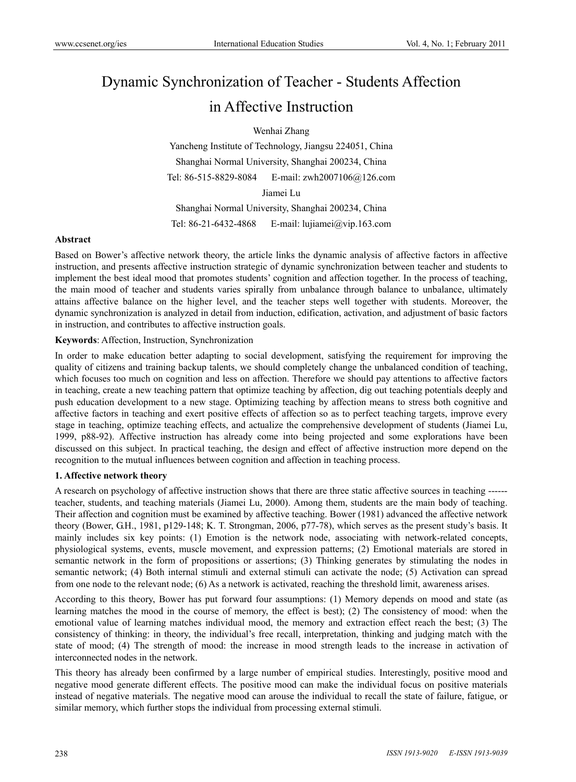# Dynamic Synchronization of Teacher - Students Affection in Affective Instruction

Wenhai Zhang

Yancheng Institute of Technology, Jiangsu 224051, China Shanghai Normal University, Shanghai 200234, China Tel: 86-515-8829-8084 E-mail: zwh2007106@126.com Jiamei Lu

Shanghai Normal University, Shanghai 200234, China Tel: 86-21-6432-4868 E-mail: lujiamei@vip.163.com

#### **Abstract**

Based on Bower's affective network theory, the article links the dynamic analysis of affective factors in affective instruction, and presents affective instruction strategic of dynamic synchronization between teacher and students to implement the best ideal mood that promotes students' cognition and affection together. In the process of teaching, the main mood of teacher and students varies spirally from unbalance through balance to unbalance, ultimately attains affective balance on the higher level, and the teacher steps well together with students. Moreover, the dynamic synchronization is analyzed in detail from induction, edification, activation, and adjustment of basic factors in instruction, and contributes to affective instruction goals.

#### **Keywords**: Affection, Instruction, Synchronization

In order to make education better adapting to social development, satisfying the requirement for improving the quality of citizens and training backup talents, we should completely change the unbalanced condition of teaching, which focuses too much on cognition and less on affection. Therefore we should pay attentions to affective factors in teaching, create a new teaching pattern that optimize teaching by affection, dig out teaching potentials deeply and push education development to a new stage. Optimizing teaching by affection means to stress both cognitive and affective factors in teaching and exert positive effects of affection so as to perfect teaching targets, improve every stage in teaching, optimize teaching effects, and actualize the comprehensive development of students (Jiamei Lu, 1999, p88-92). Affective instruction has already come into being projected and some explorations have been discussed on this subject. In practical teaching, the design and effect of affective instruction more depend on the recognition to the mutual influences between cognition and affection in teaching process.

#### **1. Affective network theory**

A research on psychology of affective instruction shows that there are three static affective sources in teaching ----- teacher, students, and teaching materials (Jiamei Lu, 2000). Among them, students are the main body of teaching. Their affection and cognition must be examined by affective teaching. Bower (1981) advanced the affective network theory (Bower, G.H., 1981, p129-148; K. T. Strongman, 2006, p77-78), which serves as the present study's basis. It mainly includes six key points: (1) Emotion is the network node, associating with network-related concepts, physiological systems, events, muscle movement, and expression patterns; (2) Emotional materials are stored in semantic network in the form of propositions or assertions; (3) Thinking generates by stimulating the nodes in semantic network; (4) Both internal stimuli and external stimuli can activate the node; (5) Activation can spread from one node to the relevant node; (6) As a network is activated, reaching the threshold limit, awareness arises.

According to this theory, Bower has put forward four assumptions: (1) Memory depends on mood and state (as learning matches the mood in the course of memory, the effect is best); (2) The consistency of mood: when the emotional value of learning matches individual mood, the memory and extraction effect reach the best; (3) The consistency of thinking: in theory, the individual's free recall, interpretation, thinking and judging match with the state of mood; (4) The strength of mood: the increase in mood strength leads to the increase in activation of interconnected nodes in the network.

This theory has already been confirmed by a large number of empirical studies. Interestingly, positive mood and negative mood generate different effects. The positive mood can make the individual focus on positive materials instead of negative materials. The negative mood can arouse the individual to recall the state of failure, fatigue, or similar memory, which further stops the individual from processing external stimuli.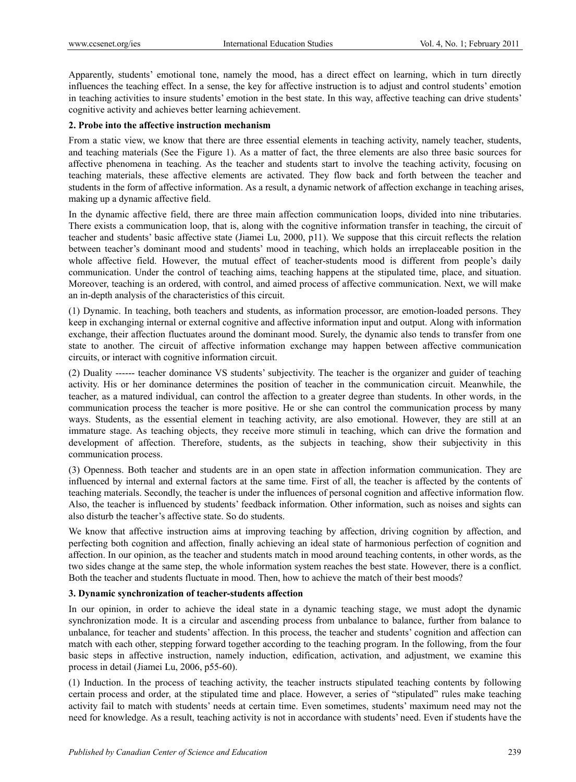Apparently, students' emotional tone, namely the mood, has a direct effect on learning, which in turn directly influences the teaching effect. In a sense, the key for affective instruction is to adjust and control students' emotion in teaching activities to insure students' emotion in the best state. In this way, affective teaching can drive students' cognitive activity and achieves better learning achievement.

## **2. Probe into the affective instruction mechanism**

From a static view, we know that there are three essential elements in teaching activity, namely teacher, students, and teaching materials (See the Figure 1). As a matter of fact, the three elements are also three basic sources for affective phenomena in teaching. As the teacher and students start to involve the teaching activity, focusing on teaching materials, these affective elements are activated. They flow back and forth between the teacher and students in the form of affective information. As a result, a dynamic network of affection exchange in teaching arises, making up a dynamic affective field.

In the dynamic affective field, there are three main affection communication loops, divided into nine tributaries. There exists a communication loop, that is, along with the cognitive information transfer in teaching, the circuit of teacher and students' basic affective state (Jiamei Lu, 2000, p11). We suppose that this circuit reflects the relation between teacher's dominant mood and students' mood in teaching, which holds an irreplaceable position in the whole affective field. However, the mutual effect of teacher-students mood is different from people's daily communication. Under the control of teaching aims, teaching happens at the stipulated time, place, and situation. Moreover, teaching is an ordered, with control, and aimed process of affective communication. Next, we will make an in-depth analysis of the characteristics of this circuit.

(1) Dynamic. In teaching, both teachers and students, as information processor, are emotion-loaded persons. They keep in exchanging internal or external cognitive and affective information input and output. Along with information exchange, their affection fluctuates around the dominant mood. Surely, the dynamic also tends to transfer from one state to another. The circuit of affective information exchange may happen between affective communication circuits, or interact with cognitive information circuit.

(2) Duality ------ teacher dominance VS students' subjectivity. The teacher is the organizer and guider of teaching activity. His or her dominance determines the position of teacher in the communication circuit. Meanwhile, the teacher, as a matured individual, can control the affection to a greater degree than students. In other words, in the communication process the teacher is more positive. He or she can control the communication process by many ways. Students, as the essential element in teaching activity, are also emotional. However, they are still at an immature stage. As teaching objects, they receive more stimuli in teaching, which can drive the formation and development of affection. Therefore, students, as the subjects in teaching, show their subjectivity in this communication process.

(3) Openness. Both teacher and students are in an open state in affection information communication. They are influenced by internal and external factors at the same time. First of all, the teacher is affected by the contents of teaching materials. Secondly, the teacher is under the influences of personal cognition and affective information flow. Also, the teacher is influenced by students' feedback information. Other information, such as noises and sights can also disturb the teacher's affective state. So do students.

We know that affective instruction aims at improving teaching by affection, driving cognition by affection, and perfecting both cognition and affection, finally achieving an ideal state of harmonious perfection of cognition and affection. In our opinion, as the teacher and students match in mood around teaching contents, in other words, as the two sides change at the same step, the whole information system reaches the best state. However, there is a conflict. Both the teacher and students fluctuate in mood. Then, how to achieve the match of their best moods?

#### **3. Dynamic synchronization of teacher-students affection**

In our opinion, in order to achieve the ideal state in a dynamic teaching stage, we must adopt the dynamic synchronization mode. It is a circular and ascending process from unbalance to balance, further from balance to unbalance, for teacher and students' affection. In this process, the teacher and students' cognition and affection can match with each other, stepping forward together according to the teaching program. In the following, from the four basic steps in affective instruction, namely induction, edification, activation, and adjustment, we examine this process in detail (Jiamei Lu, 2006, p55-60).

(1) Induction. In the process of teaching activity, the teacher instructs stipulated teaching contents by following certain process and order, at the stipulated time and place. However, a series of "stipulated" rules make teaching activity fail to match with students' needs at certain time. Even sometimes, students' maximum need may not the need for knowledge. As a result, teaching activity is not in accordance with students' need. Even if students have the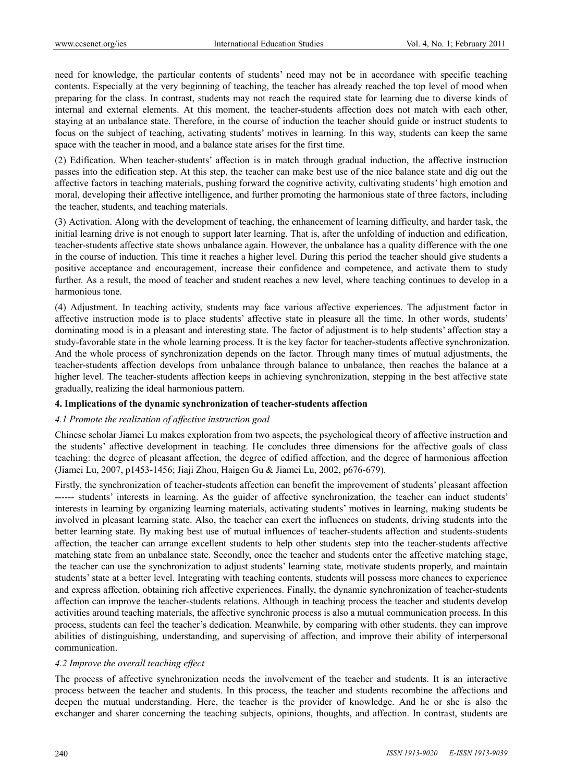need for knowledge, the particular contents of students' need may not be in accordance with specific teaching contents. Especially at the very beginning of teaching, the teacher has already reached the top level of mood when preparing for the class. In contrast, students may not reach the required state for learning due to diverse kinds of internal and external elements. At this moment, the teacher-students affection does not match with each other, staying at an unbalance state. Therefore, in the course of induction the teacher should guide or instruct students to focus on the subject of teaching, activating students' motives in learning. In this way, students can keep the same space with the teacher in mood, and a balance state arises for the first time.

(2) Edification. When teacher-students' affection is in match through gradual induction, the affective instruction passes into the edification step. At this step, the teacher can make best use of the nice balance state and dig out the affective factors in teaching materials, pushing forward the cognitive activity, cultivating students' high emotion and moral, developing their affective intelligence, and further promoting the harmonious state of three factors, including the teacher, students, and teaching materials.

(3) Activation. Along with the development of teaching, the enhancement of learning difficulty, and harder task, the initial learning drive is not enough to support later learning. That is, after the unfolding of induction and edification, teacher-students affective state shows unbalance again. However, the unbalance has a quality difference with the one in the course of induction. This time it reaches a higher level. During this period the teacher should give students a positive acceptance and encouragement, increase their confidence and competence, and activate them to study further. As a result, the mood of teacher and student reaches a new level, where teaching continues to develop in a harmonious tone.

(4) Adjustment. In teaching activity, students may face various affective experiences. The adjustment factor in affective instruction mode is to place students' affective state in pleasure all the time. In other words, students' dominating mood is in a pleasant and interesting state. The factor of adjustment is to help students' affection stay a study-favorable state in the whole learning process. It is the key factor for teacher-students affective synchronization. And the whole process of synchronization depends on the factor. Through many times of mutual adjustments, the teacher-students affection develops from unbalance through balance to unbalance, then reaches the balance at a higher level. The teacher-students affection keeps in achieving synchronization, stepping in the best affective state gradually, realizing the ideal harmonious pattern.

## **4. Implications of the dynamic synchronization of teacher-students affection**

## *4.1 Promote the realization of affective instruction goal*

Chinese scholar Jiamei Lu makes exploration from two aspects, the psychological theory of affective instruction and the students' affective development in teaching. He concludes three dimensions for the affective goals of class teaching: the degree of pleasant affection, the degree of edified affection, and the degree of harmonious affection (Jiamei Lu, 2007, p1453-1456; Jiaji Zhou, Haigen Gu & Jiamei Lu, 2002, p676-679).

Firstly, the synchronization of teacher-students affection can benefit the improvement of students' pleasant affection ------ students' interests in learning. As the guider of affective synchronization, the teacher can induct students' interests in learning by organizing learning materials, activating students' motives in learning, making students be involved in pleasant learning state. Also, the teacher can exert the influences on students, driving students into the better learning state. By making best use of mutual influences of teacher-students affection and students-students affection, the teacher can arrange excellent students to help other students step into the teacher-students affective matching state from an unbalance state. Secondly, once the teacher and students enter the affective matching stage, the teacher can use the synchronization to adjust students' learning state, motivate students properly, and maintain students' state at a better level. Integrating with teaching contents, students will possess more chances to experience and express affection, obtaining rich affective experiences. Finally, the dynamic synchronization of teacher-students affection can improve the teacher-students relations. Although in teaching process the teacher and students develop activities around teaching materials, the affective synchronic process is also a mutual communication process. In this process, students can feel the teacher's dedication. Meanwhile, by comparing with other students, they can improve abilities of distinguishing, understanding, and supervising of affection, and improve their ability of interpersonal communication.

## *4.2 Improve the overall teaching effect*

The process of affective synchronization needs the involvement of the teacher and students. It is an interactive process between the teacher and students. In this process, the teacher and students recombine the affections and deepen the mutual understanding. Here, the teacher is the provider of knowledge. And he or she is also the exchanger and sharer concerning the teaching subjects, opinions, thoughts, and affection. In contrast, students are